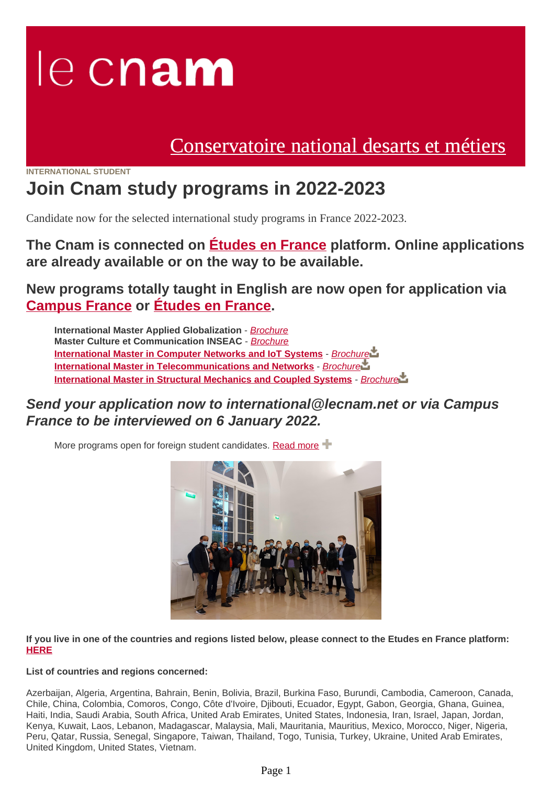# le cnam

# [Conservatoire national desarts et métiers](https://www.cnam.eu/)

#### **INTERNATIONAL STUDENT**

# **Join Cnam study programs in 2022-2023**

Candidate now for the selected international study programs in France 2022-2023.

**The Cnam is connected on [Études en France](https://pastel.diplomatie.gouv.fr/etudesenfrance/dyn/public/authentification/login.html) platform. Online applications are already available or on the way to be available.**

**New programs totally taught in English are now open for application via [Campus France](https://www.campusfrance.org/en/resource/cnam-conservatoire-national-des-arts-et-metiers) or [Études en France.](https://pastel.diplomatie.gouv.fr/etudesenfrance/dyn/public/authentification/login.html?codeLangue=EN)**

**International Master Applied Globalization** - [Brochure](https://www.cnam.eu/medias/fichier/master-applied-globalization_1636800479407-pdf?ID_FICHE=1071679&INLINE=FALSE) **Master Culture et Communication INSEAC** - [Brochure](https://www.cnam.eu/medias/fichier/211001-master-culture-et-communication-inseac_1636800530527-pdf?ID_FICHE=1071679&INLINE=FALSE) **[International Master in Computer Networks and IoT Systems](https://master.roc.cnam.fr/)** - Brochure **[International Master in Telecommunications and Networks](https://eeap.cnam.fr/site-en/)** - [Brochure](https://www.cnam.eu/medias/fichier/master-telecommunications-and-networks_1636800626361-pdf?ID_FICHE=1071679&INLINE=FALSE) **[International Master in Structural Mechanics and Coupled Systems](https://www.cnam.eu/join-our-new-master-s-degree-in-structural-mechanics-and-coupled-systems--1312725.kjsp?RH=1602144441881)** - [Brochure](https://www.cnam.eu/medias/fichier/210128-master-structural-mechanics-v5-en_1612454409866-pdf?ID_FICHE=1071679&INLINE=FALSE)

### **Send your application now to international@lecnam.net or via Campus France to be interviewed on 6 January 2022.**

More programs open for foreign student candidates. [Read more](https://www.cnam.eu/students/welcome-to-the-cnam--1206459.kjsp?RH=1602144441881)  $\pm$ 



**If you live in one of the countries and regions listed below, please connect to the Etudes en France platform: [HERE](https://pastel.diplomatie.gouv.fr/etudesenfrance/dyn/public/authentification/login.html)**

#### **List of countries and regions concerned:**

Azerbaijan, Algeria, Argentina, Bahrain, Benin, Bolivia, Brazil, Burkina Faso, Burundi, Cambodia, Cameroon, Canada, Chile, China, Colombia, Comoros, Congo, Côte d'Ivoire, Djibouti, Ecuador, Egypt, Gabon, Georgia, Ghana, Guinea, Haiti, India, Saudi Arabia, South Africa, United Arab Emirates, United States, Indonesia, Iran, Israel, Japan, Jordan, Kenya, Kuwait, Laos, Lebanon, Madagascar, Malaysia, Mali, Mauritania, Mauritius, Mexico, Morocco, Niger, Nigeria, Peru, Qatar, Russia, Senegal, Singapore, Taiwan, Thailand, Togo, Tunisia, Turkey, Ukraine, United Arab Emirates, United Kingdom, United States, Vietnam.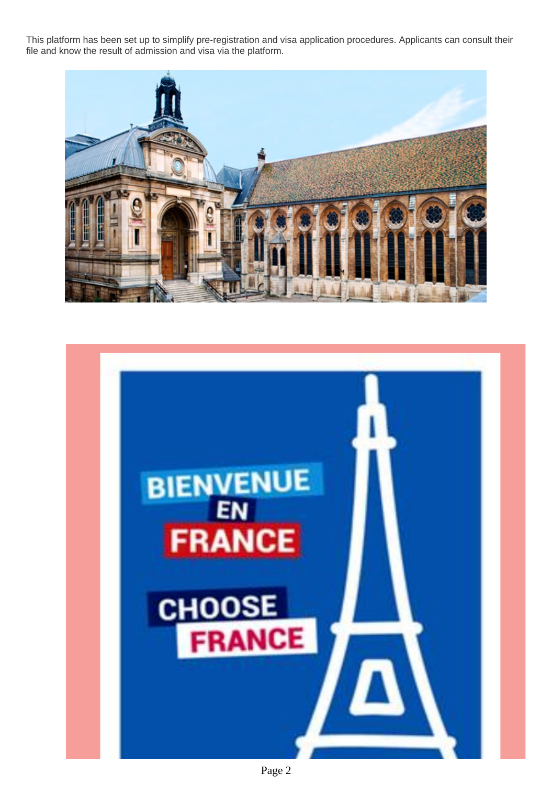This platform has been set up to simplify pre-registration and visa application procedures. Applicants can consult their file and know the result of admission and visa via the platform.





Page 2